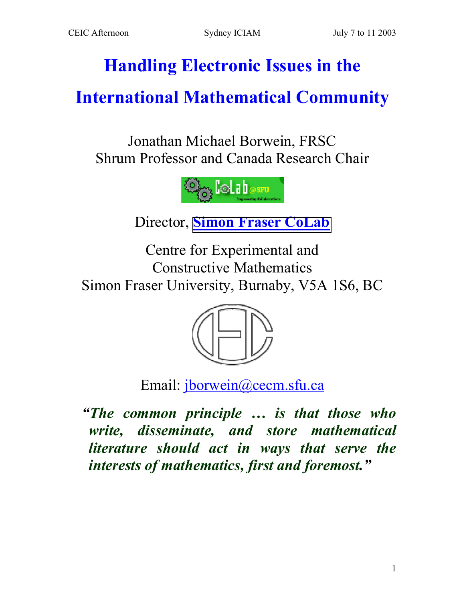# **Handling Electronic Issues in the**

## **International Mathematical Community**

Jonathan Michael Borwein, FRSC Shrum Professor and Canada Research Chair

¦©Lab⊛sro

Director, **[Simon Fraser CoLab](#page-25-0)**

Centre for Experimental and Constructive Mathematics Simon Fraser University, Burnaby, V5A 1S6, BC



Email: [jborwein@cecm.sfu.ca](mailto:jborwein@cecm.sfu.ca)

*"The common principle … is that those who write, disseminate, and store mathematical literature should act in ways that serve the interests of mathematics, first and foremost."*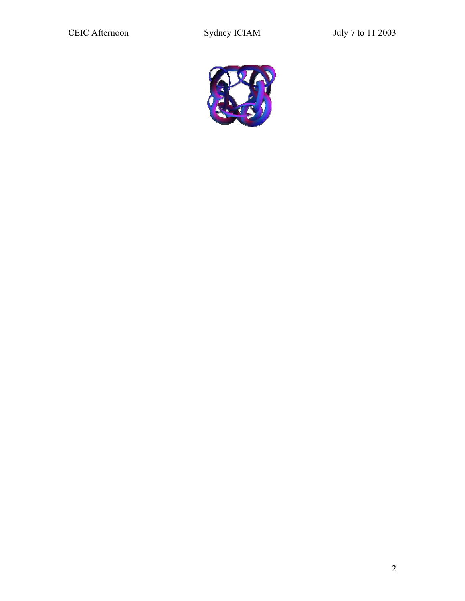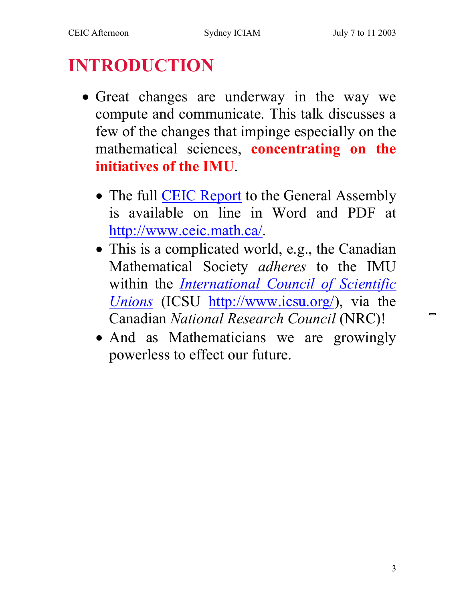# **INTRODUCTION**

- Great changes are underway in the way we compute and communicate. This talk discusses a few of the changes that impinge especially on the mathematical sciences, **concentrating on the initiatives of the IMU**.
	- The full **CEIC Report** to the General Assembly is available on line in Word and PDF at [http://www.ceic.math.ca/.](#page-27-0)
	- This is a complicated world, e.g., the Canadian Mathematical Society *adheres* to the IMU within the *[International Council of Scientific](http://www.icsu.org/)  [Unions](http://www.icsu.org/)* (ICSU [http://www.icsu.org/\)](http://www.icsu.org/), via the Canadian *National Research Council* (NRC)!
	- And as Mathematicians we are growingly powerless to effect our future.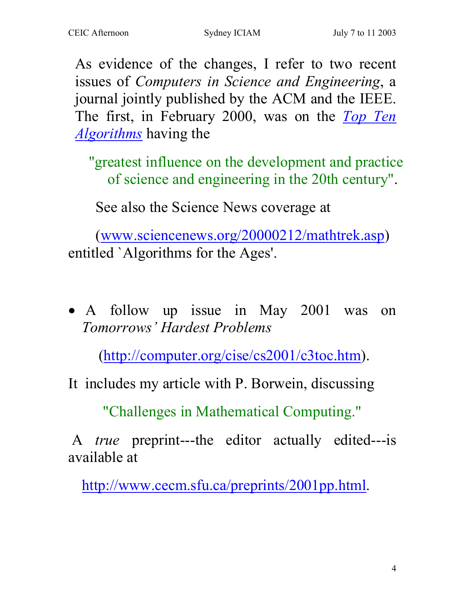As evidence of the changes, I refer to two recent issues of *Computers in Science and Engineering*, a journal jointly published by the ACM and the IEEE. The first, in February 2000, was on the *[Top Ten](http://www.cecm.sfu.ca/personal/jborwein/algorithms.html)  [Algorithms](http://www.cecm.sfu.ca/personal/jborwein/algorithms.html)* having the

"greatest influence on the development and practice of science and engineering in the 20th century".

See also the Science News coverage at

([www.sciencenews.org/20000212/mathtrek.asp](http://www.sciencenews.org/20000212/mathtrek.asp)) entitled `Algorithms for the Ages'.

• A follow up issue in May 2001 was on *Tomorrows' Hardest Problems*

(<http://computer.org/cise/cs2001/c3toc.htm>).

It includes my article with P. Borwein, discussing

"Challenges in Mathematical Computing."

 A *true* preprint---the editor actually edited---is available at

<http://www.cecm.sfu.ca/preprints/2001pp.html>.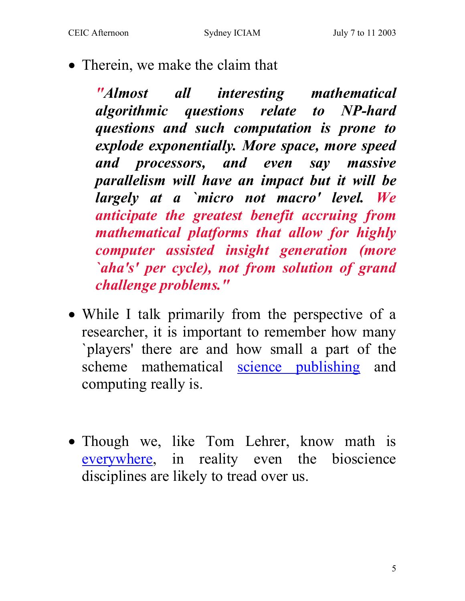• Therein, we make the claim that

*"Almost all interesting mathematical algorithmic questions relate to NP-hard questions and such computation is prone to explode exponentially. More space, more speed and processors, and even say massive parallelism will have an impact but it will be largely at a `micro not macro' level. We anticipate the greatest benefit accruing from mathematical platforms that allow for highly computer assisted insight generation (more `aha's' per cycle), not from solution of grand challenge problems."*

- While I talk primarily from the perspective of a researcher, it is important to remember how many `players' there are and how small a part of the scheme mathematical [science publishing](http://www.genomeweb.com/articles/view-article.asp?Article=200172219199) and computing really is.
- Though we, like Tom Lehrer, know math is everywhere, in reality even the bioscience disciplines are likely to tread over us.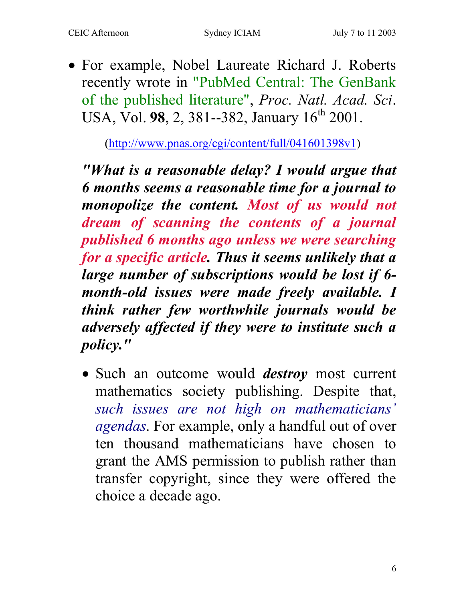• For example, Nobel Laureate Richard J. Roberts recently wrote in "PubMed Central: The GenBank of the published literature", *Proc. Natl. Acad. Sci*. USA, Vol. 98, 2, 381--382, January 16<sup>th</sup> 2001.

[\(http://www.pnas.org/cgi/content/full/041601398v1\)](http://www.pnas.org/cgi/content/full/041601398v1)

*"What is a reasonable delay? I would argue that 6 months seems a reasonable time for a journal to monopolize the content. Most of us would not dream of scanning the contents of a journal published 6 months ago unless we were searching for a specific article. Thus it seems unlikely that a large number of subscriptions would be lost if 6 month-old issues were made freely available. I think rather few worthwhile journals would be adversely affected if they were to institute such a policy."* 

• Such an outcome would *destroy* most current mathematics society publishing. Despite that, *such issues are not high on mathematicians' agendas*. For example, only a handful out of over ten thousand mathematicians have chosen to grant the AMS permission to publish rather than transfer copyright, since they were offered the choice a decade ago.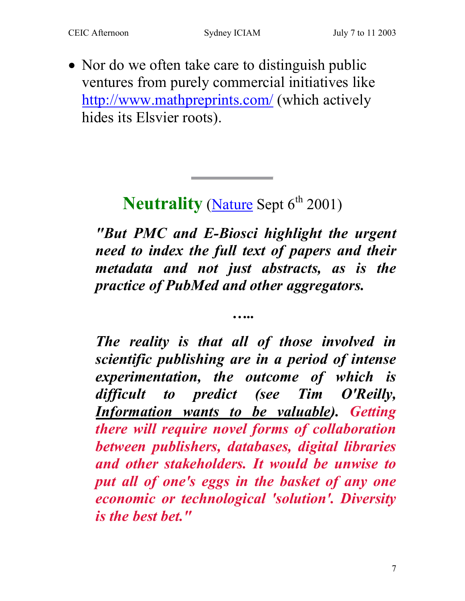• Nor do we often take care to distinguish public ventures from purely commercial initiatives like <http://www.mathpreprints.com/> (which actively hides its Elsvier roots).

**Neutrality** ([Nature](http://www.nature.com/nature/debates/e-access/Articles/opinion2.html) Sept 6<sup>th</sup> 2001)

*"But PMC and E-Biosci highlight the urgent need to index the full text of papers and their metadata and not just abstracts, as is the practice of PubMed and other aggregators.* 

*…..* 

*The reality is that all of those involved in scientific publishing are in a period of intense experimentation, the outcome of which is difficult to predict (see Tim O'Reilly, Information wants to be valuable). Getting there will require novel forms of collaboration between publishers, databases, digital libraries and other stakeholders. It would be unwise to put all of one's eggs in the basket of any one economic or technological 'solution'. Diversity is the best bet."*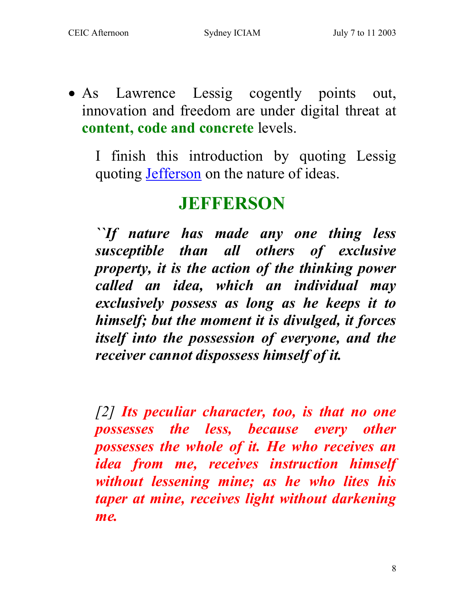• As Lawrence Lessig cogently points out, innovation and freedom are under digital threat at **content, code and concrete** levels.

I finish this introduction by quoting Lessig quoting [Jefferson](http://www.cecm.sfu.ca/personal/jborwein/quotations.html) on the nature of ideas.

## **JEFFERSON**

*``If nature has made any one thing less susceptible than all others of exclusive property, it is the action of the thinking power called an idea, which an individual may exclusively possess as long as he keeps it to himself; but the moment it is divulged, it forces itself into the possession of everyone, and the receiver cannot dispossess himself of it.* 

*[2] Its peculiar character, too, is that no one possesses the less, because every other possesses the whole of it. He who receives an idea from me, receives instruction himself without lessening mine; as he who lites his taper at mine, receives light without darkening me.*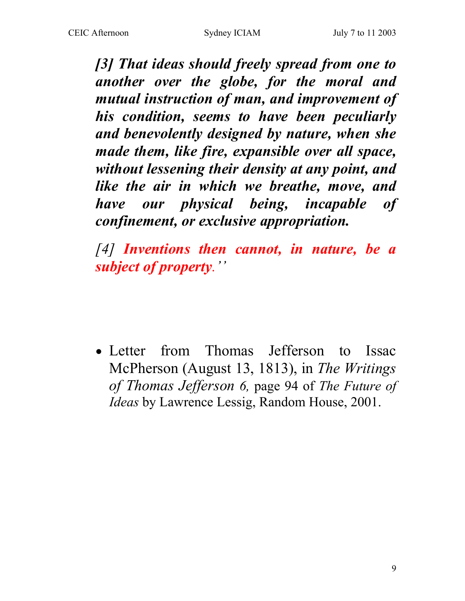*[3] That ideas should freely spread from one to another over the globe, for the moral and mutual instruction of man, and improvement of his condition, seems to have been peculiarly and benevolently designed by nature, when she made them, like fire, expansible over all space, without lessening their density at any point, and like the air in which we breathe, move, and have our physical being, incapable of confinement, or exclusive appropriation.* 

*[4] Inventions then cannot, in nature, be a subject of property.''* 

• Letter from Thomas Jefferson to Issac McPherson (August 13, 1813), in *The Writings of Thomas Jefferson 6,* page 94 of *The Future of Ideas* by Lawrence Lessig, Random House, 2001.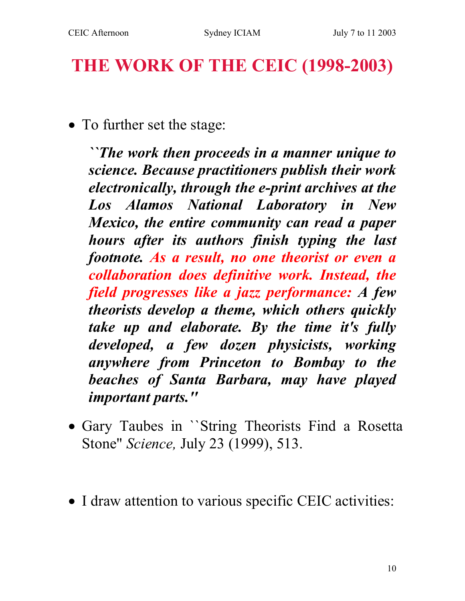# **THE WORK OF THE CEIC (1998-2003)**

### • To further set the stage:

*``The work then proceeds in a manner unique to science. Because practitioners publish their work electronically, through the e-print archives at the Los Alamos National Laboratory in New Mexico, the entire community can read a paper hours after its authors finish typing the last footnote. As a result, no one theorist or even a collaboration does definitive work. Instead, the field progresses like a jazz performance: A few theorists develop a theme, which others quickly take up and elaborate. By the time it's fully developed, a few dozen physicists, working anywhere from Princeton to Bombay to the beaches of Santa Barbara, may have played important parts.''* 

- Gary Taubes in ``String Theorists Find a Rosetta Stone" *Science,* July 23 (1999), 513.
- I draw attention to various specific CEIC activities: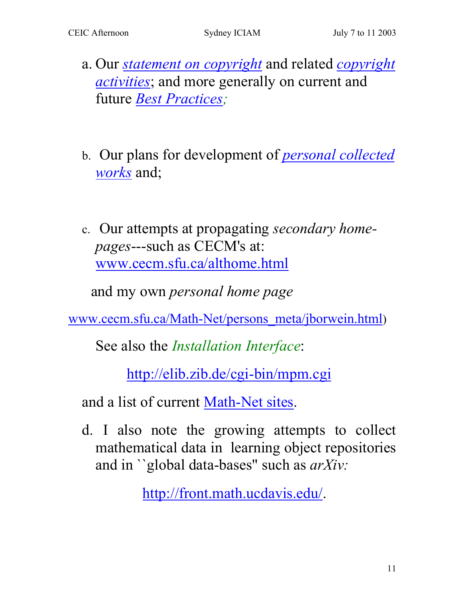- a. Our *[statement on copyright](#page-20-0)* and related *[copyright](http://www.maths.qmw.ac.uk/~wilfrid/copyright.html)  [activities](http://www.maths.qmw.ac.uk/~wilfrid/copyright.html)*; and more generally on current and future *[Best Practices;](#page-16-0)*
- Our plans for development of *[personal collected](http://www.ams.org/ams/call.html)*  b. *[works](http://www.ams.org/ams/call.html)* and;
- Our attempts at propagating *secondary home-*c. *pages*---such as CECM's at: [www.cecm.sfu.ca/althome.html](#page-32-0)

and my own *personal home page*

[www.cecm.sfu.ca/Math-Net/persons\\_meta/jborwein.html\)](http://www.cecm.sfu.ca/Math-Net/persons_meta/jborwein.html)

See also the *Installation Interface*:

<http://elib.zib.de/cgi-bin/mpm.cgi>

and a list of current [Math-Net sites.](#page-22-0)

d. I also note the growing attempts to collect mathematical data in learning object repositories and in ``global data-bases" such as *arXiv:*

<http://front.math.ucdavis.edu/>.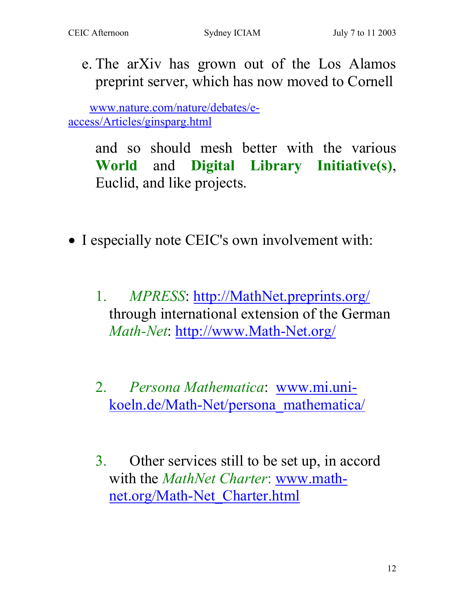e. The arXiv has grown out of the Los Alamos preprint server, which has now moved to Cornell

 [www.nature.com/nature/debates/e](http://www.nature.com/nature/debates/e-access/Articles/ginsparg.html)[access/Articles/ginsparg.html](http://www.nature.com/nature/debates/e-access/Articles/ginsparg.html) 

> and so should mesh better with the various **World** and **Digital Library Initiative(s)**, Euclid, and like projects.

- I especially note CEIC's own involvement with:
	- 1. *MPRESS*: [http://MathNet.preprints.org/](http://mathnet.preprints.org/) through international extension of the German *Math-Net*: [http://www.Math-Net.org/](http://www.math-net.org/)
	- 2. *Persona Mathematica*: [www.mi.uni](http://www.mi.uni-koeln.de/Math-Net/persona_mathematica/)[koeln.de/Math-Net/persona\\_mathematica/](http://www.mi.uni-koeln.de/Math-Net/persona_mathematica/)
	- 3. Other services still to be set up, in accord with the *MathNet Charter*: [www.math](http://www.math-net.org/Math-Net_Charter.html)[net.org/Math-Net\\_Charter.html](http://www.math-net.org/Math-Net_Charter.html)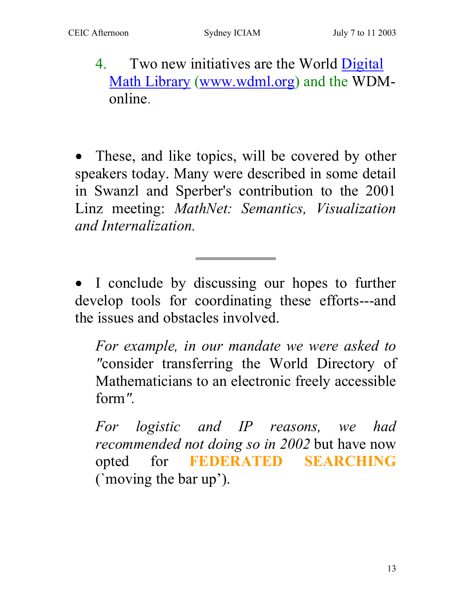4. Two new initiatives are the World Digital Math Library ([www.wdml.org](#page-24-0)) and the WDMonline.

These, and like topics, will be covered by other speakers today. Many were described in some detail in Swanzl and Sperber's contribution to the 2001 Linz meeting: *MathNet: Semantics, Visualization and Internalization.*

I conclude by discussing our hopes to further develop tools for coordinating these efforts---and the issues and obstacles involved.

*For example, in our mandate we were asked to "*consider transferring the World Directory of Mathematicians to an electronic freely accessible form*".* 

*For logistic and IP reasons, we had recommended not doing so in 2002* but have now opted for **FEDERATED SEARCHING** (`moving the bar up').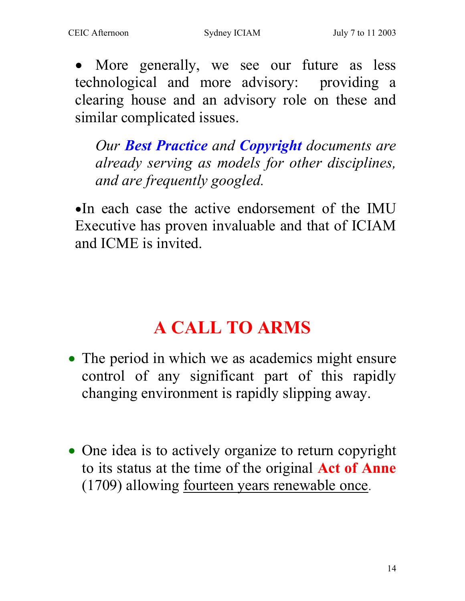More generally, we see our future as less technological and more advisory: providing a clearing house and an advisory role on these and similar complicated issues.

*Our Best Practice and Copyright documents are already serving as models for other disciplines, and are frequently googled.* 

•In each case the active endorsement of the IMU Executive has proven invaluable and that of ICIAM and ICME is invited.

# **A CALL TO ARMS**

- The period in which we as academics might ensure control of any significant part of this rapidly changing environment is rapidly slipping away.
- One idea is to actively organize to return copyright to its status at the time of the original **Act of Anne** (1709) allowing fourteen years renewable once.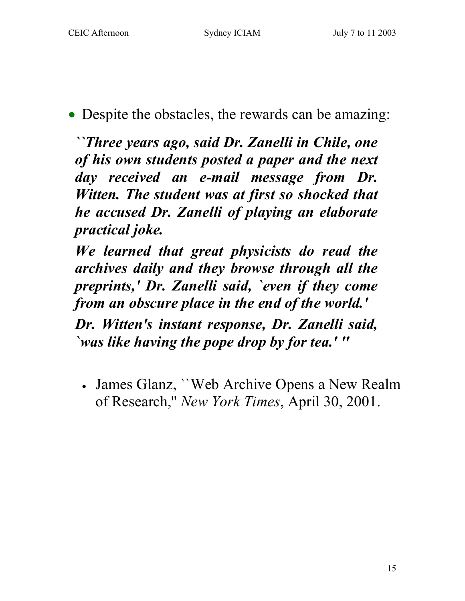• Despite the obstacles, the rewards can be amazing:

*``Three years ago, said Dr. Zanelli in Chile, one of his own students posted a paper and the next day received an e-mail message from Dr. Witten. The student was at first so shocked that he accused Dr. Zanelli of playing an elaborate practical joke.* 

*We learned that great physicists do read the archives daily and they browse through all the preprints,' Dr. Zanelli said, `even if they come from an obscure place in the end of the world.'* 

*Dr. Witten's instant response, Dr. Zanelli said, `was like having the pope drop by for tea.' ''* 

• James Glanz, ``Web Archive Opens a New Realm of Research,'' *New York Times*, April 30, 2001.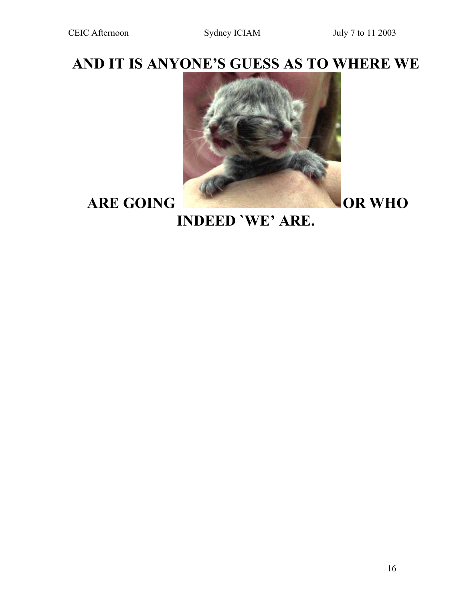### **AND IT IS ANYONE'S GUESS AS TO WHERE WE**



**ARE GOING OR WHO**

**INDEED `WE' ARE.**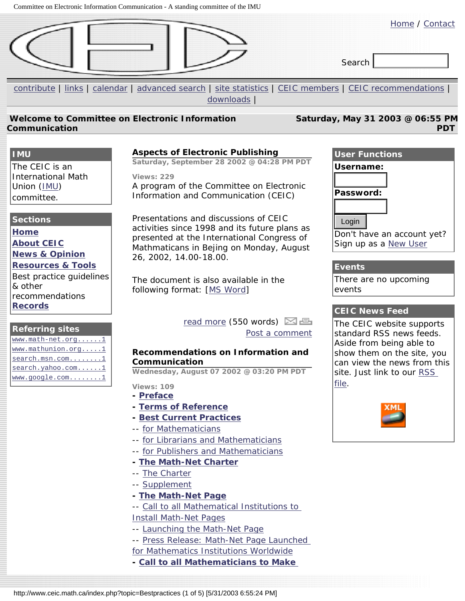<span id="page-16-1"></span><span id="page-16-0"></span>Committee on Electronic Information Communication - A standing committee of the IMU



 **Welcome to Committee on Electronic Information Communication**

**Saturday, May 31 2003 @ 06:55 PM PDT**

### **IMU**

The CEIC is an International Math Union ([IMU\)](http://www.mathunion.org/) committee.

### **Sections**

**[Records](http://www.ceic.math.ca/index.php?topic=Records)**

**[Home](http://www.ceic.math.ca/index.php) [About CEIC](http://www.ceic.math.ca/index.php?topic=About) [News & Opinion](http://www.ceic.math.ca/index.php?topic=General) [Resources & Tools](http://www.ceic.math.ca/index.php?topic=Resources)** Best practice guidelines & other recommendations

### **Referring sites**

| $www.math-net.org1$ |
|---------------------|
| www.mathunion.org1  |
| search.msn.com1     |
| $search.yahoo.com$  |
| www.qoogle.com1     |

### **Aspects of Electronic Publishing**

**Saturday, September 28 2002 @ 04:28 PM PDT** 

**Views: 229**  A program of the *Committee on Electronic Information and Communication* (CEIC)

Presentations and discussions of CEIC activities since 1998 and its future plans as presented at the International Congress of Mathmaticans in Bejing on Monday, August 26, 2002, 14.00-18.00. Sections and uncercolored at the international Congress of Carlier (1 of 1 of 1 of 1 of 5) [5/31/2003 6:552 PM]<br>
Mathematicans in Belging on Morday. August Essenteres & Tools<br>
Resources & Tools<br>
Resources & Tools<br>
Sections

The document is also available in the following format: [\[MS Word\]](http://www.ceic.math.ca/filemgmt/visit.php?lid=12)

> [read more](http://www.ceic.math.ca/article.php?story=20020928162822598) (550 words)  $\boxtimes \boxplus$ [Post a comment](http://www.ceic.math.ca/comment.php?sid=20020928162822598&pid=0&type=article)

### **Recommendations on Information and Communication**

**Wednesday, August 07 2002 @ 03:20 PM PDT** 

- **Views: 109**
- **- [Preface](http://www.ceic.math.ca/staticpages/index.php?page=20020810120717568)**
- **- [Terms of Reference](http://www.ceic.math.ca/staticpages/index.php?page=20020810121541784)**
- **- [Best Current Practices](http://www.ceic.math.ca/staticpages/index.php?page=20020810121101976)**
- -- [for Mathematicians](http://www.ceic.math.ca/staticpages/index.php?page=20020810121101976#forMathematicians)
- -- [for Librarians and Mathematicians](http://www.ceic.math.ca/staticpages/index.php?page=20020810121101976#forLibrariansAndMathematicians)
- -- [for Publishers and Mathematicians](http://www.ceic.math.ca/staticpages/index.php?page=20020810121101976#forPublishersAndMathematicians)
- **- [The Math-Net Charter](http://www.ceic.math.ca/staticpages/index.php?page=20020810121644183)**
- -- [The Charter](http://www.ceic.math.ca/staticpages/index.php?page=20020810121644183#theCharter)
- -- [Supplement](http://www.ceic.math.ca/staticpages/index.php?page=20020810121644183#Supplement)
- **- [The Math-Net Page](http://www.ceic.math.ca/staticpages/index.php?page=20020810121753457)**
- -- [Call to all Mathematical Institutions to](http://www.ceic.math.ca/staticpages/index.php?page=20020810121753457#callToAllMathematicalInstitutionsToInstallMathNetPages)

[Install Math-Net Pages](http://www.ceic.math.ca/staticpages/index.php?page=20020810121753457#callToAllMathematicalInstitutionsToInstallMathNetPages)

- -- [Launching the Math-Net Page](http://www.ceic.math.ca/staticpages/index.php?page=20020810121753457#launchingTheMathNetPage)
- -- [Press Release: Math-Net Page Launched](http://www.ceic.math.ca/staticpages/index.php?page=20020810121753457#pressReleaseMathNetPageLaunchedForMathematicsInstitutionsWorldwide)
- [for Mathematics Institutions Worldwide](http://www.ceic.math.ca/staticpages/index.php?page=20020810121753457#pressReleaseMathNetPageLaunchedForMathematicsInstitutionsWorldwide)
	- **- [Call to all Mathematicians to Make](http://www.ceic.math.ca/staticpages/index.php?page=20020810121157214)**



Sign up as a [New User](http://www.ceic.math.ca/users.php?mode=new)

### **Events**

There are no upcoming events

### **CEIC News Feed**

The CEIC website supports standard RSS news feeds. Aside from being able to show them on the site, you can view the news from this site. Just link to our [RSS](http://www.ceic.math.ca/backend/geeklog.rdf)  [file.](http://www.ceic.math.ca/backend/geeklog.rdf)

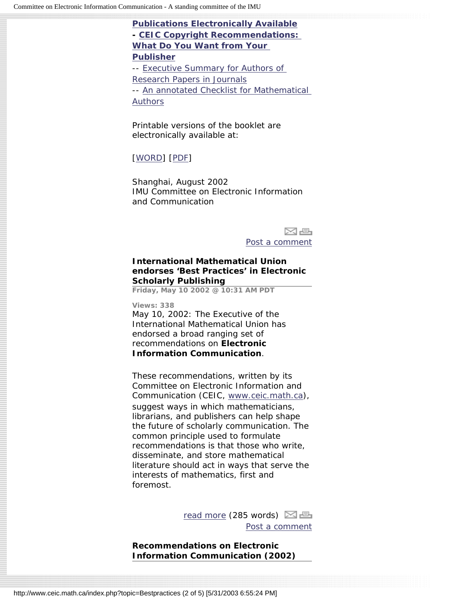**[Publications Electronically Available](http://www.ceic.math.ca/staticpages/index.php?page=20020810121157214) - [CEIC Copyright Recommendations:](http://www.ceic.math.ca/staticpages/index.php?page=20020810121419636) [What Do You Want from Your](http://www.ceic.math.ca/staticpages/index.php?page=20020810121419636) [Publisher](http://www.ceic.math.ca/staticpages/index.php?page=20020810121419636)** -- [Executive Summary for Authors of](http://www.ceic.math.ca/staticpages/index.php?page=20020810121419636#ExecutiveSummaryForAuthorsOfResearchPapersInJournals)  [Research Papers in Journals](http://www.ceic.math.ca/staticpages/index.php?page=20020810121419636#ExecutiveSummaryForAuthorsOfResearchPapersInJournals) -- [An annotated Checklist for Mathematical](http://www.ceic.math.ca/staticpages/index.php?page=20020810121419636#whatDoYouWantFromYourPublisher) [Authors](http://www.ceic.math.ca/staticpages/index.php?page=20020810121419636#whatDoYouWantFromYourPublisher)

Printable versions of the booklet are electronically available at:

### [\[WORD\]](http://www.ceic.math.ca/mod_docmgmt/visit.php?lid=1) [\[PDF](http://www.ceic.math.ca/mod_docmgmt/visit.php?lid=2)]

Shanghai, August 2002 IMU Committee on Electronic Information and Communication



### **International Mathematical Union endorses 'Best Practices' in Electronic Scholarly Publishing**

**Friday, May 10 2002 @ 10:31 AM PDT** 

**Views: 338** 

*May 10, 2002*: The Executive of the International Mathematical Union has endorsed a broad ranging set of recommendations on **Electronic Information Communication**.

These recommendations, written by its Committee on Electronic Information and Communication (CEIC, [www.ceic.math.ca](#page-27-0)), suggest ways in which mathematicians, librarians, and publishers can help shape the future of scholarly communication. The common principle used to formulate recommendations is that those who write, disseminate, and store mathematical literature should act in ways that serve the interests of mathematics, first and foremost.

> [read more](http://www.ceic.math.ca/article.php?story=20020514103157652) (285 words)  $\boxtimes \boxplus$ [Post a comment](http://www.ceic.math.ca/comment.php?sid=20020514103157652&pid=0&type=article)

**Recommendations on Electronic Information Communication (2002)**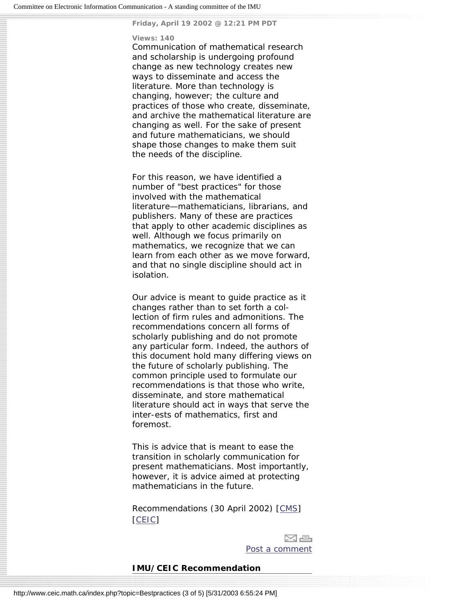**Friday, April 19 2002 @ 12:21 PM PDT** 

### **Views: 140**

Communication of mathematical research and scholarship is undergoing profound change as new technology creates new ways to disseminate and access the literature. More than technology is changing, however; the culture and practices of those who create, disseminate, and archive the mathematical literature are changing as well. For the sake of present and future mathematicians, we should shape those changes to make them suit the needs of the discipline.

For this reason, we have identified a number of "best practices" for those involved with the mathematical literature—mathematicians, librarians, and publishers. Many of these are practices that apply to other academic disciplines as well. Although we focus primarily on mathematics, we recognize that we can learn from each other as we move forward, and that no single discipline should act in isolation.

Our advice is meant to guide practice as it changes rather than to set forth a collection of firm rules and admonitions. The recommendations concern all forms of scholarly publishing and do not promote any particular form. Indeed, the authors of this document hold many differing views on the future of scholarly publishing. The common principle used to formulate our recommendations is that those who write, disseminate, and store mathematical literature should act in ways that serve the inter-ests of mathematics, first and foremost.

This is advice that is meant to ease the transition in scholarly communication for present mathematicians. Most importantly, however, it is advice aimed at protecting mathematicians in the future.

Recommendations (30 April 2002) [\[CMS](http://www.cms.math.ca/bulletins/Best-Practices.pdf)] [\[CEIC](http://www.ceic.math.ca/ceic_docs/best_practices/Best-Practices.pdf)]

> X s [Post a comment](http://www.ceic.math.ca/comment.php?sid=20020324161900136&pid=0&type=article)

### **IMU/CEIC Recommendation**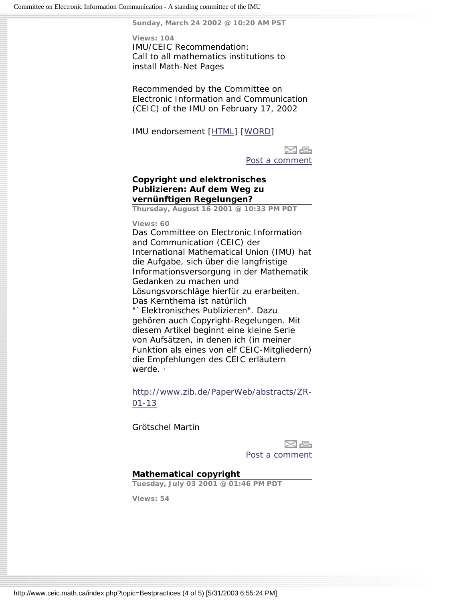**Sunday, March 24 2002 @ 10:20 AM PST** 

**Views: 104**  IMU/CEIC Recommendation: Call to all mathematics institutions to install Math-Net Pages

*Recommended by the Committee on Electronic Information and Communication (CEIC) of the IMU on February 17, 2002*

IMU endorsement [[HTML](http://www.math-net.org/Math-Net-Recommendation.html)] [[WORD\]](http://www.math-net.org/Math-Net-Recommendation.doc)

x s

[Post a comment](http://www.ceic.math.ca/comment.php?sid=20020324222056467&pid=0&type=article)

### **Copyright und elektronisches Publizieren: Auf dem Weg zu vernünftigen Regelungen?**

**Thursday, August 16 2001 @ 10:33 PM PDT** 

**Views: 60** 

Das Committee on Electronic Information and Communication (CEIC) der International Mathematical Union (IMU) hat die Aufgabe, sich über die langfristige Informationsversorgung in der Mathematik Gedanken zu machen und Lösungsvorschläge hierfür zu erarbeiten. Das Kernthema ist natürlich "`Elektronisches Publizieren". Dazu gehören auch Copyright-Regelungen. Mit diesem Artikel beginnt eine kleine Serie von Aufsätzen, in denen ich (in meiner Funktion als eines von elf CEIC-Mitgliedern) die Empfehlungen des CEIC erläutern werde. ·

[http://www.zib.de/PaperWeb/abstracts/ZR-](http://www.zib.de/PaperWeb/abstracts/ZR-01-13)[01-13](http://www.zib.de/PaperWeb/abstracts/ZR-01-13)

Grötschel Martin

w e. [Post a comment](http://www.ceic.math.ca/comment.php?sid=20010315223303630&pid=0&type=article)

### **Mathematical copyright**

**Tuesday, July 03 2001 @ 01:46 PM PDT** 

**Views: 54**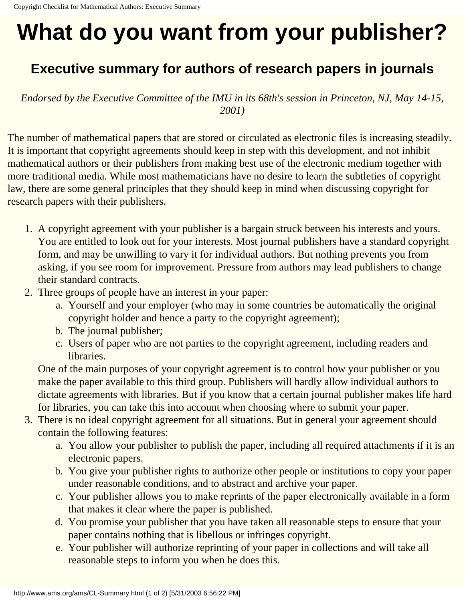# <span id="page-20-0"></span>**What do you want from your publisher?**

### **Executive summary for authors of research papers in journals**

*Endorsed by the Executive Committee of the IMU in its 68th's session in Princeton, NJ, May 14-15, 2001)*

The number of mathematical papers that are stored or circulated as electronic files is increasing steadily. It is important that copyright agreements should keep in step with this development, and not inhibit mathematical authors or their publishers from making best use of the electronic medium together with more traditional media. While most mathematicians have no desire to learn the subtleties of copyright law, there are some general principles that they should keep in mind when discussing copyright for research papers with their publishers.

- 1. A copyright agreement with your publisher is a bargain struck between his interests and yours. You are entitled to look out for your interests. Most journal publishers have a standard copyright form, and may be unwilling to vary it for individual authors. But nothing prevents you from asking, if you see room for improvement. Pressure from authors may lead publishers to change their standard contracts.
- 2. Three groups of people have an interest in your paper:
	- a. Yourself and your employer (who may in some countries be automatically the original copyright holder and hence a party to the copyright agreement);
	- b. The journal publisher;
	- c. Users of paper who are not parties to the copyright agreement, including readers and libraries.

One of the main purposes of your copyright agreement is to control how your publisher or you make the paper available to this third group. Publishers will hardly allow individual authors to dictate agreements with libraries. But if you know that a certain journal publisher makes life hard for libraries, you can take this into account when choosing where to submit your paper.

- 3. There is no ideal copyright agreement for all situations. But in general your agreement should contain the following features:
	- a. You allow your publisher to publish the paper, including all required attachments if it is an electronic papers.
	- b. You give your publisher rights to authorize other people or institutions to copy your paper under reasonable conditions, and to abstract and archive your paper.
	- c. Your publisher allows you to make reprints of the paper electronically available in a form that makes it clear where the paper is published.
	- d. You promise your publisher that you have taken all reasonable steps to ensure that your paper contains nothing that is libellous or infringes copyright.
	- e. Your publisher will authorize reprinting of your paper in collections and will take all reasonable steps to inform you when he does this.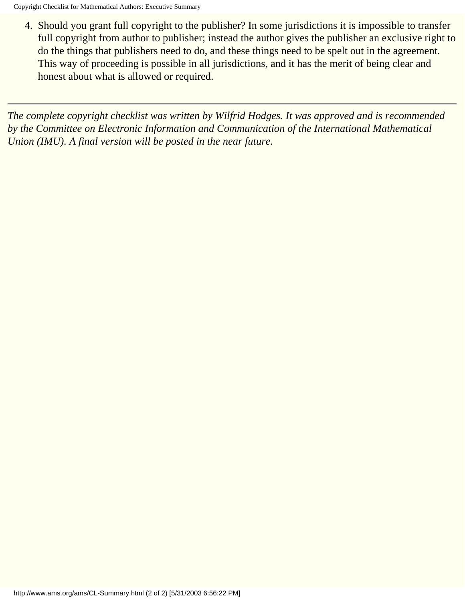4. Should you grant full copyright to the publisher? In some jurisdictions it is impossible to transfer full copyright from author to publisher; instead the author gives the publisher an exclusive right to do the things that publishers need to do, and these things need to be spelt out in the agreement. This way of proceeding is possible in all jurisdictions, and it has the merit of being clear and honest about what is allowed or required.

*The complete copyright checklist was written by Wilfrid Hodges. It was approved and is recommended by the Committee on Electronic Information and Communication of the International Mathematical Union (IMU). A final version will be posted in the near future.*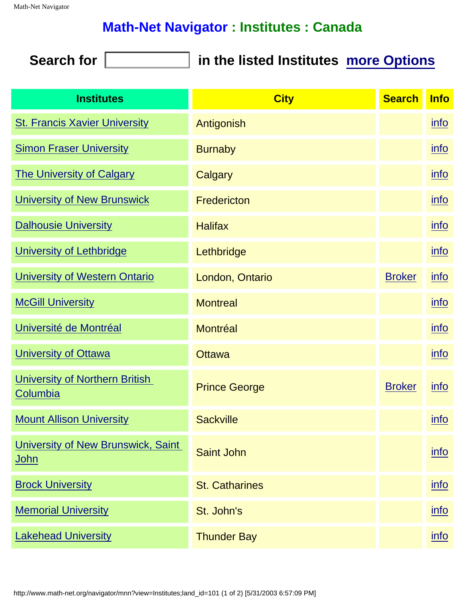### **Math-Net Navigator : Institutes : Canada**

### <span id="page-22-0"></span>**Search for <u>in the listed Institutes [more Options](http://sis08.zib.de/Harvest/brokers/brocki/)</u>**

| <b>Institutes</b>                          | <b>City</b>           | <b>Search</b> | <b>Info</b>              |
|--------------------------------------------|-----------------------|---------------|--------------------------|
| <b>St. Francis Xavier University</b>       | Antigonish            |               | info                     |
| <b>Simon Fraser University</b>             | <b>Burnaby</b>        |               | info                     |
| <b>The University of Calgary</b>           | Calgary               |               | info                     |
| <b>University of New Brunswick</b>         | <b>Fredericton</b>    |               | $info$                   |
| <b>Dalhousie University</b>                | <b>Halifax</b>        |               | $info$                   |
| University of Lethbridge                   | Lethbridge            |               | $info$                   |
| <b>University of Western Ontario</b>       | London, Ontario       | <b>Broker</b> | info                     |
| <b>McGill University</b>                   | <b>Montreal</b>       |               | info                     |
| Université de Montréal                     | <b>Montréal</b>       |               | $info$                   |
| <b>University of Ottawa</b>                | <b>Ottawa</b>         |               | info                     |
| University of Northern British<br>Columbia | <b>Prince George</b>  | <b>Broker</b> | $\overline{\text{info}}$ |
| <b>Mount Allison University</b>            | <b>Sackville</b>      |               | <u>info</u>              |
| University of New Brunswick, Saint<br>John | <b>Saint John</b>     |               | $\overline{\text{info}}$ |
| <b>Brock University</b>                    | <b>St. Catharines</b> |               | info                     |
| <b>Memorial University</b>                 | St. John's            |               | info                     |
| <b>Lakehead University</b>                 | <b>Thunder Bay</b>    |               | info                     |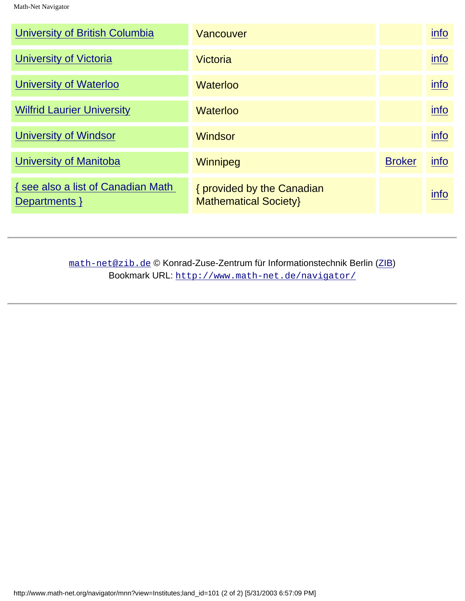Math-Net Navigator

| University of British Columbia                      | Vancouver                                                 |               | info |
|-----------------------------------------------------|-----------------------------------------------------------|---------------|------|
| <b>University of Victoria</b>                       | <b>Victoria</b>                                           |               | info |
| <b>University of Waterloo</b>                       | Waterloo                                                  |               | info |
| <b>Wilfrid Laurier University</b>                   | Waterloo                                                  |               | info |
| University of Windsor                               | Windsor                                                   |               | info |
| University of Manitoba                              | Winnipeg                                                  | <b>Broker</b> | info |
| { see also a list of Canadian Math<br>Departments } | { provided by the Canadian<br><b>Mathematical Society</b> |               | info |

[math-net@zib.de](mailto:math-net@zib.de) © Konrad-Zuse-Zentrum für Informationstechnik Berlin [\(ZIB](http://www.zib.de/)) Bookmark URL: <http://www.math-net.de/navigator/>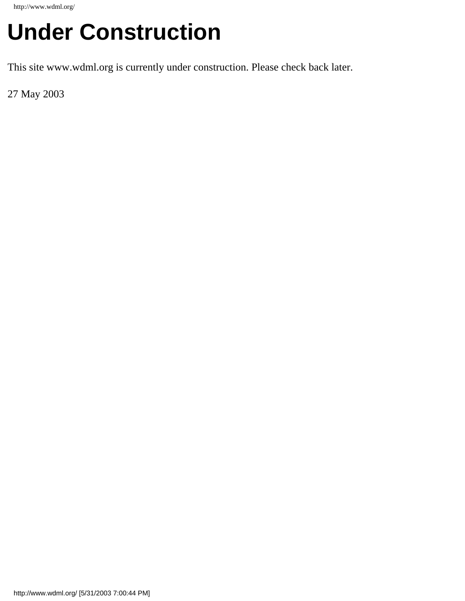# <span id="page-24-0"></span>**Under Construction**

This site www.wdml.org is currently under construction. Please check back later.

27 May 2003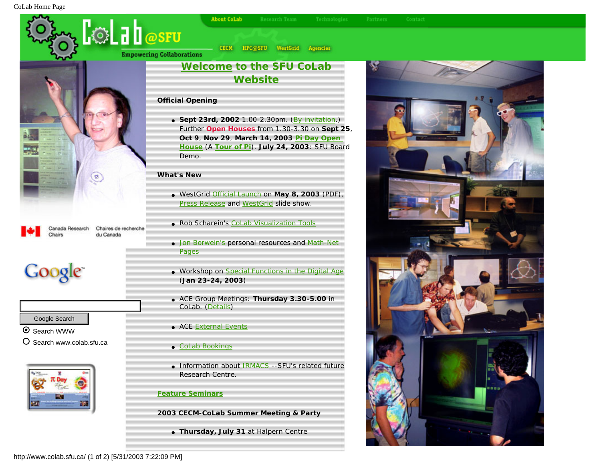<span id="page-25-0"></span>

### **[Welcome](http://www.colab.sfu.ca/colab.pdf) to the SFU CoLab Website**

WestGrid

**Agencies** 

**HPC@SFU** 

**About CoLab** 

**CECM** 

### **Official Opening**

● **Sept 23rd, 2002** 1.00-2.30pm. ([By invitation.](http://www.colab.sfu.ca/invitation.pdf)) Further **[Open Houses](http://www.cecm.sfu.ca/~jborwein/demos.html)** from 1.30-3.30 on **Sept 25**, **Oct 9**, **Nov 29**, **March 14, 2003 [Pi Day Open](http://www.colab.sfu.ca/PiDay/index.html)  [House](http://www.colab.sfu.ca/PiDay/index.html)** (A **[Tour of Pi](http://www.cecm.sfu.ca/~jborwein/PiMaple/Pi.html)**). **July 24, 2003**: SFU Board Demo.

### **What's New**

- WestGrid [Official Launch](http://www.colab.sfu.ca/launch.pdf) on **May 8, 2003** (PDF), [Press Release](http://www.colab.sfu.ca/May8_WG_Release.pdf) and [WestGrid](http://www.colab.sfu.ca/westgrid.ppt) slide show.
- Rob Scharein's [CoLab Visualization Tools](http://www.cecm.sfu.ca/~scharein/)
- [Jon Borwein's](http://www.cecm.sfu.ca/~jborwein/) personal resources and [Math-Net](http://www.cecm.sfu.ca/Math-Net/persons_meta/jborwein.html) [Pages](http://www.cecm.sfu.ca/Math-Net/persons_meta/jborwein.html)
- Workshop on [Special Functions in the Digital Age](http://www.cecm.sfu.ca/personal/jborwein/SFDA.htm) (**Jan 23-24, 2003**)
- *ACE* Group Meetings: **Thursday 3.30-5.00** in CoLab. ([Details\)](#page-26-0)
- *ACE* [External Events](#page-26-1)
- [CoLab Bookings](http://www.cecm.sfu.ca/booking.html)
- Information about [IRMACS](http://www.cecm.sfu.ca/personal/pborwein/IRMACS/frame.htm) --SFU's related future Research Centre.

### **[Feature Seminars](http://www.colab.sfu.ca/seminars.html)**

**2003 CECM-CoLab Summer Meeting & Party**

● **Thursday, July 31** at Halpern Centre

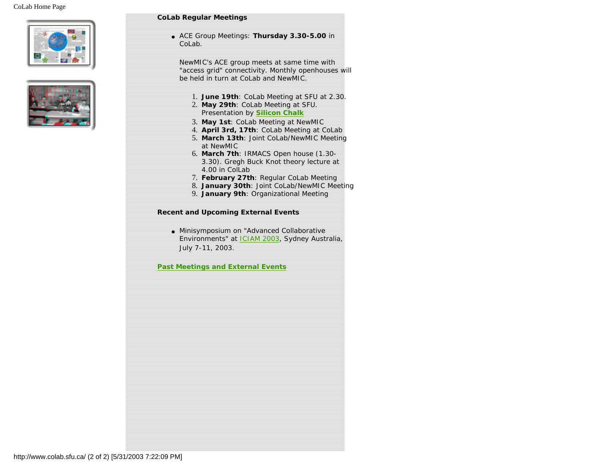

<span id="page-26-1"></span><span id="page-26-0"></span>

### **CoLab Regular Meetings**

● *ACE* Group Meetings: **Thursday 3.30-5.00** in CoLab.

NewMIC's ACE group meets at same time with "access grid" connectivity. Monthly openhouses will be held in turn at CoLab and NewMIC.

- 1. **June 19th**: CoLab Meeting at SFU *at 2.30*.
- 2. **May 29th**: CoLab Meeting at SFU. Presentation by **[Silicon Chalk](http://www.silicon-chalk.com/)**
- 3. **May 1st**: CoLab Meeting at NewMIC
- 4. **April 3rd, 17th**: CoLab Meeting at CoLab
- 5. **March 13th**: Joint CoLab/NewMIC Meeting at NewMIC
- 6. **March 7th**: IRMACS Open house (1.30- 3.30). Gregh Buck Knot theory lecture at 4.00 in ColLab
- 7. **February 27th**: Regular CoLab Meeting
- 8. **January 30th**: Joint CoLab/NewMIC Meeting
- 9. **January 9th**: Organizational Meeting

### **Recent and Upcoming External Events**

● Minisymposium on "Advanced Collaborative Environments" at [ICIAM 2003](http://www.iciam.org/iciamHome/iciamHome_tf.html), Sydney Australia, July 7-11, 2003.

### **[Past Meetings and External Events](http://www.colab.sfu.ca/meetings.html)**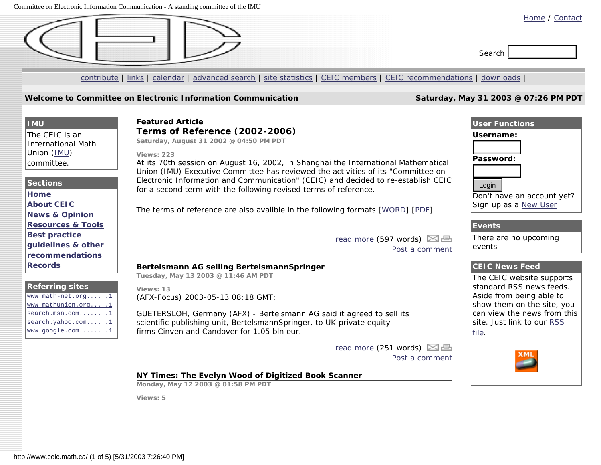<span id="page-27-1"></span>

### **Welcome to Committee on Electronic Information Communication Saturday, May 31 2003 @ 07:26 PM PDT**

<span id="page-27-0"></span>

| <b>IMU</b>                   | <b>Featured Article</b>                                                            | <b>User Functions</b>       |  |  |  |  |
|------------------------------|------------------------------------------------------------------------------------|-----------------------------|--|--|--|--|
| The CEIC is an               | Terms of Reference (2002-2006)                                                     | <b>Username:</b>            |  |  |  |  |
| <b>International Math</b>    | Saturday, August 31 2002 @ 04:50 PM PDT                                            |                             |  |  |  |  |
| Union (IMU)                  | <b>Views: 223</b>                                                                  |                             |  |  |  |  |
| committee.                   | At its 70th session on August 16, 2002, in Shanghai the International Mathematical | Password:                   |  |  |  |  |
|                              | Union (IMU) Executive Committee has reviewed the activities of its "Committee on   |                             |  |  |  |  |
| <b>Sections</b>              | Electronic Information and Communication" (CEIC) and decided to re-establish CEIC  | Login                       |  |  |  |  |
| <b>Home</b>                  | for a second term with the following revised terms of reference.                   | Don't have an account yet?  |  |  |  |  |
| <b>About CEIC</b>            |                                                                                    | Sign up as a New User       |  |  |  |  |
| <b>News &amp; Opinion</b>    | The terms of reference are also availble in the following formats [WORD] [PDF]     |                             |  |  |  |  |
| <b>Resources &amp; Tools</b> |                                                                                    | <b>Events</b>               |  |  |  |  |
| <b>Best practice</b>         | read more (597 words) $\boxtimes \boxplus$                                         | There are no upcoming       |  |  |  |  |
| guidelines & other           | Post a comment                                                                     | events                      |  |  |  |  |
| recommendations              |                                                                                    |                             |  |  |  |  |
| <b>Records</b>               | <b>Bertelsmann AG selling BertelsmannSpringer</b>                                  | <b>CEIC News Feed</b>       |  |  |  |  |
|                              | Tuesday, May 13 2003 @ 11:46 AM PDT                                                | The CEIC website supports   |  |  |  |  |
| <b>Referring sites</b>       | Views: 13                                                                          | standard RSS news feeds.    |  |  |  |  |
| www.math-net.org1            | (AFX-Focus) 2003-05-13 08:18 GMT:                                                  | Aside from being able to    |  |  |  |  |
| www.mathunion.org1           |                                                                                    | show them on the site, you  |  |  |  |  |
| search.msn.com1              | GUETERSLOH, Germany (AFX) - Bertelsmann AG said it agreed to sell its              | can view the news from this |  |  |  |  |
| search.yahoo.com1            | scientific publishing unit, BertelsmannSpringer, to UK private equity              | site. Just link to our RSS  |  |  |  |  |
| www.google.com1              | firms Cinven and Candover for 1.05 bln eur.                                        | file.                       |  |  |  |  |
|                              | read more (251 words) $\boxtimes \boxplus$                                         |                             |  |  |  |  |
|                              | Post a comment                                                                     |                             |  |  |  |  |
|                              |                                                                                    |                             |  |  |  |  |
|                              | <b>NY Times: The Evelyn Wood of Digitized Book Scanner</b>                         |                             |  |  |  |  |
|                              | Monday, May 12 2003 @ 01:58 PM PDT                                                 |                             |  |  |  |  |
|                              | Views: 5                                                                           |                             |  |  |  |  |
|                              |                                                                                    |                             |  |  |  |  |
|                              |                                                                                    |                             |  |  |  |  |
|                              |                                                                                    |                             |  |  |  |  |
|                              |                                                                                    |                             |  |  |  |  |
|                              |                                                                                    |                             |  |  |  |  |
|                              | http://www.ceic.math.ca/ (1 of 5) [5/31/2003 7:26:40 PM]                           |                             |  |  |  |  |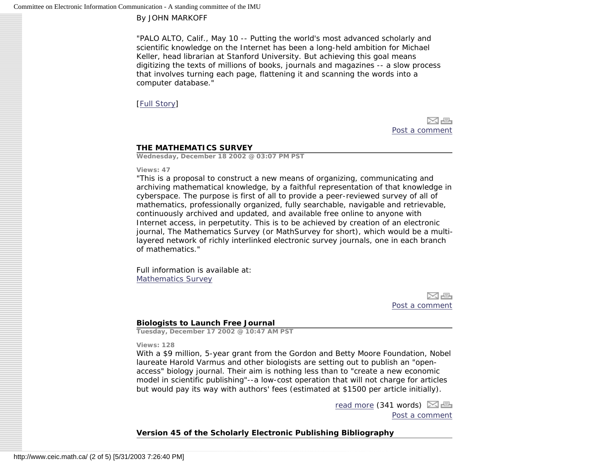By JOHN MARKOFF

"PALO ALTO, Calif., May 10 -- Putting the world's most advanced scholarly and scientific knowledge on the Internet has been a long-held ambition for Michael Keller, head librarian at Stanford University. But achieving this goal means digitizing the texts of millions of books, journals and magazines -- a slow process that involves turning each page, flattening it and scanning the words into a computer database."

[\[Full Story](http://www.nytimes.com/2003/05/12/technology/12TURN.html?ex=1053755787&ei=1&en=709d9e4add84ac8a)]

ra e [Post a comment](http://www.ceic.math.ca/comment.php?sid=20030512135841184&pid=0&type=article)

#### **THE MATHEMATICS SURVEY**

**Wednesday, December 18 2002 @ 03:07 PM PST** 

**Views: 47** 

"This is a proposal to construct a new means of organizing, communicating and archiving mathematical knowledge, by a faithful representation of that knowledge in cyberspace. The purpose is first of all to provide a peer-reviewed survey of all of mathematics, professionally organized, fully searchable, navigable and retrievable, continuously archived and updated, and available free online to anyone with Internet access, in perpetutity. This is to be achieved by creation of an electronic journal, The Mathematics Survey (or MathSurvey for short), which would be a multilayered network of richly interlinked electronic survey journals, one in each branch of mathematics."

Full information is available at: [Mathematics Survey](http://www.stat.berkeley.edu/users/pitman/mathsurvey/)



#### **Biologists to Launch Free Journal**

**Tuesday, December 17 2002 @ 10:47 AM PST** 

**Views: 128** 

With a \$9 million, 5-year grant from the Gordon and Betty Moore Foundation, Nobel laureate Harold Varmus and other biologists are setting out to publish an "openaccess" biology journal. Their aim is nothing less than to "create a new economic model in scientific publishing"--a low-cost operation that will not charge for articles but would pay its way with authors' fees (estimated at \$1500 per article initially).

[read more](http://www.ceic.math.ca/article.php?story=20021218104728274) (341 words)  $\boxtimes \boxplus$ 

[Post a comment](http://www.ceic.math.ca/comment.php?sid=20021218104728274&pid=0&type=article)

**Version 45 of the Scholarly Electronic Publishing Bibliography**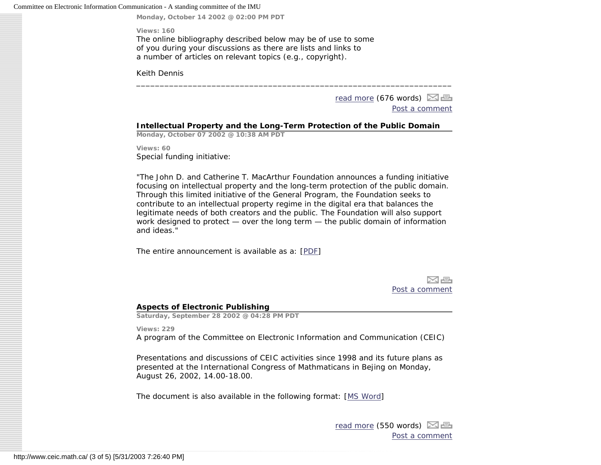**Monday, October 14 2002 @ 02:00 PM PDT** 

**Views: 160** 

The online bibliography described below may be of use to some of you during your discussions as there are lists and links to a number of articles on relevant topics (e.g., copyright).

Keith Dennis

[read more](http://www.ceic.math.ca/article.php?story=20021014140017342) (676 words)  $\boxtimes \boxplus$ [Post a comment](http://www.ceic.math.ca/comment.php?sid=20021014140017342&pid=0&type=article)

### **Intellectual Property and the Long-Term Protection of the Public Domain**

\_\_\_\_\_\_\_\_\_\_\_\_\_\_\_\_\_\_\_\_\_\_\_\_\_\_\_\_\_\_\_\_\_\_\_\_\_\_\_\_\_\_\_\_\_\_\_\_\_\_\_\_\_\_\_\_\_\_\_\_\_\_\_\_\_\_\_

**Monday, October 07 2002 @ 10:38 AM PDT** 

**Views: 60**  Special funding initiative:

"The John D. and Catherine T. MacArthur Foundation announces a funding initiative focusing on intellectual property and the long-term protection of the public domain. Through this limited initiative of the General Program, the Foundation seeks to contribute to an intellectual property regime in the digital era that balances the legitimate needs of both creators and the public. The Foundation will also support work designed to protect  $-$  over the long term  $-$  the public domain of information and ideas."

The entire announcement is available as a: [[PDF\]](http://www.ceic.math.ca/filemgmt/visit.php?lid=13)

⊠ e [Post a comment](http://www.ceic.math.ca/comment.php?sid=20021007103841989&pid=0&type=article)

### **Aspects of Electronic Publishing**

**Saturday, September 28 2002 @ 04:28 PM PDT** 

**Views: 229** 

A program of the *Committee on Electronic Information and Communication* (CEIC)

Presentations and discussions of CEIC activities since 1998 and its future plans as presented at the International Congress of Mathmaticans in Bejing on Monday, August 26, 2002, 14.00-18.00.

The document is also available in the following format: [[MS Word](http://www.ceic.math.ca/filemgmt/visit.php?lid=12)]

[read more](http://www.ceic.math.ca/article.php?story=20020928162822598) (550 words)  $\boxtimes \boxplus$ [Post a comment](http://www.ceic.math.ca/comment.php?sid=20020928162822598&pid=0&type=article)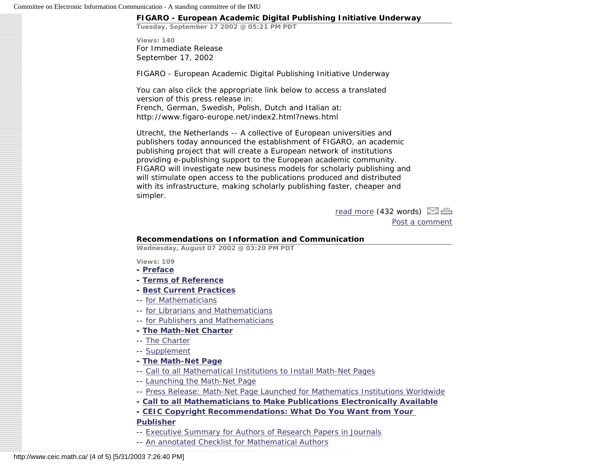### **FIGARO - European Academic Digital Publishing Initiative Underway**

**Tuesday, September 17 2002 @ 05:21 PM PDT** 

**Views: 140**  For Immediate Release September 17, 2002

FIGARO - European Academic Digital Publishing Initiative Underway

You can also click the appropriate link below to access a translated version of this press release in: French, German, Swedish, Polish, Dutch and Italian at: http://www.figaro-europe.net/index2.html?news.html

Utrecht, the Netherlands -- A collective of European universities and publishers today announced the establishment of FIGARO, an academic publishing project that will create a European network of institutions providing e-publishing support to the European academic community. FIGARO will investigate new business models for scholarly publishing and will stimulate open access to the publications produced and distributed with its infrastructure, making scholarly publishing faster, cheaper and simpler.

> [read more](http://www.ceic.math.ca/article.php?story=20020928172155616) (432 words)  $\boxtimes \boxplus$ [Post a comment](http://www.ceic.math.ca/comment.php?sid=20020928172155616&pid=0&type=article)

#### **Recommendations on Information and Communication**

**Wednesday, August 07 2002 @ 03:20 PM PDT** 

#### **Views: 109**

- **[Preface](http://www.ceic.math.ca/staticpages/index.php?page=20020810120717568)**
- **[Terms of Reference](http://www.ceic.math.ca/staticpages/index.php?page=20020810121541784)**
- **[Best Current Practices](http://www.ceic.math.ca/staticpages/index.php?page=20020810121101976)**
- -- [for Mathematicians](http://www.ceic.math.ca/staticpages/index.php?page=20020810121101976#forMathematicians)
- -- [for Librarians and Mathematicians](http://www.ceic.math.ca/staticpages/index.php?page=20020810121101976#forLibrariansAndMathematicians)
- -- [for Publishers and Mathematicians](http://www.ceic.math.ca/staticpages/index.php?page=20020810121101976#forPublishersAndMathematicians)
- **[The Math-Net Charter](http://www.ceic.math.ca/staticpages/index.php?page=20020810121644183)**
- -- [The Charter](http://www.ceic.math.ca/staticpages/index.php?page=20020810121644183#theCharter)
- -- [Supplement](http://www.ceic.math.ca/staticpages/index.php?page=20020810121644183#Supplement)
- **[The Math-Net Page](http://www.ceic.math.ca/staticpages/index.php?page=20020810121753457)**
- -- [Call to all Mathematical Institutions to Install Math-Net Pages](http://www.ceic.math.ca/staticpages/index.php?page=20020810121753457#callToAllMathematicalInstitutionsToInstallMathNetPages)
- -- [Launching the Math-Net Page](http://www.ceic.math.ca/staticpages/index.php?page=20020810121753457#launchingTheMathNetPage)
- -- [Press Release: Math-Net Page Launched for Mathematics Institutions Worldwide](http://www.ceic.math.ca/staticpages/index.php?page=20020810121753457#pressReleaseMathNetPageLaunchedForMathematicsInstitutionsWorldwide)
- **[Call to all Mathematicians to Make Publications Electronically Available](http://www.ceic.math.ca/staticpages/index.php?page=20020810121157214)**
- **[CEIC Copyright Recommendations: What Do You Want from Your](http://www.ceic.math.ca/staticpages/index.php?page=20020810121419636)**

### **[Publisher](http://www.ceic.math.ca/staticpages/index.php?page=20020810121419636)**

- -- [Executive Summary for Authors of Research Papers in Journals](http://www.ceic.math.ca/staticpages/index.php?page=20020810121419636#ExecutiveSummaryForAuthorsOfResearchPapersInJournals)
- -- [An annotated Checklist for Mathematical Authors](http://www.ceic.math.ca/staticpages/index.php?page=20020810121419636#whatDoYouWantFromYourPublisher)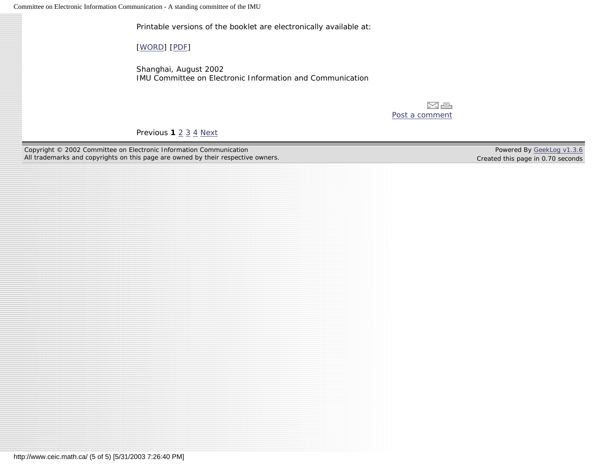Committee on Electronic Information Communication - A standing committee of the IMU

Printable versions of the booklet are electronically available at:

[\[WORD\]](http://www.ceic.math.ca/mod_docmgmt/visit.php?lid=1) [\[PDF](http://www.ceic.math.ca/mod_docmgmt/visit.php?lid=2)]

Shanghai, August 2002 IMU Committee on Electronic Information and Communication



Previous **1** [2](http://www.ceic.math.ca/index.php?page=2) [3](http://www.ceic.math.ca/index.php?page=3) [4](http://www.ceic.math.ca/index.php?page=4) [Next](http://www.ceic.math.ca/index.php?page=2)

 Copyright © 2002 Committee on Electronic Information Communication All trademarks and copyrights on this page are owned by their respective owners.

Powered By [GeekLog v1.3.6](http://geeklog.sourceforge.net/) Created this page in 0.70 seconds